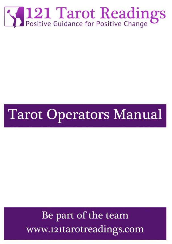

# **Tarot Operators Manual**

## Be part of the team www.121tarotreadings.com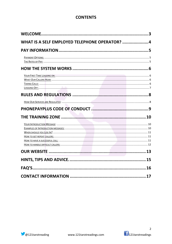## **CONTENTS**

| WHAT IS A SELF EMPLOYED TELEPHONE OPERATOR? 4   |  |
|-------------------------------------------------|--|
|                                                 |  |
|                                                 |  |
|                                                 |  |
|                                                 |  |
|                                                 |  |
|                                                 |  |
|                                                 |  |
|                                                 |  |
|                                                 |  |
|                                                 |  |
|                                                 |  |
|                                                 |  |
|                                                 |  |
|                                                 |  |
|                                                 |  |
| the contract of the contract of the contract of |  |
|                                                 |  |
|                                                 |  |
|                                                 |  |

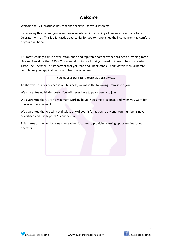## **Welcome**

Welcome to 121TarotReadings.com and thank you for your interest!

By receiving this manual you have shown an interest in becoming a Freelance Telephone Tarot Operator with us. This is a fantastic opportunity for you to make a healthy income from the comfort of your own home.

121TarotReadings.com is a well-established and reputable company that has been providing Tarot Line services since the 1990's. This manual contains all that you need to know to be a successful Tarot Line Operator. It is important that you read and understand all parts of this manual before completing your application form to become an operator.

#### **YOU MUST BE OVER 18 TO WORK ON OUR SERVICES.**

To show you our confidence in our business, we make the following promises to you:

We **guarantee** no hidden costs. You will never have to pay a penny to join.

We **guarantee** there are no minimum working hours. You simply log on as and when you want for however long you want

We **guarantee** that we will not disclose any of your information to anyone, your number is never advertised and it is kept 100% confidential.

This makes us the number one choice when it comes to providing earning opportunities for our operators.





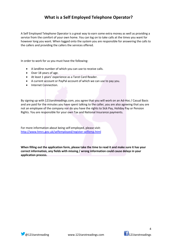## **What is a Self Employed Telephone Operator?**

A Self Employed Telephone Operator is a great way to earn some extra money as well as providing a service from the comfort of your own home. You can log on to take calls at the times you want for however long you want. When logged onto the system you are responsible for answering the calls to the callers and providing the callers the services offered.

In order to work for us you must have the following:

- A landline number of which you can use to receive calls.
- Over 18 years of age.
- At least 1 years' experience as a Tarot Card Reader.
- A current account or PayPal account of which we can use to pay you.
- Internet Connection.

By signing up with 121tarotreadings.com, you agree that you will work on an Ad-Hoc / Casual Basis and are paid for the minutes you have spent talking to the caller, you are also agreeing that you are not an employee of the company nor do you have the rights to Sick Pay, Holiday Pay or Pension Rights. You are responsible for your own Tax and National Insurance payments.

For more information about being self-employed, please visit: http://www.hmrc.gov.uk/selfemployed/register-selfemp.html

**When filling out the application form, please take the time to read it and make sure it has your correct information, any fields with missing / wrong information could cause delays in your application process.** 



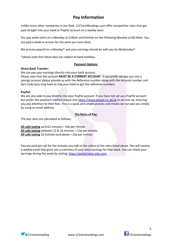## **Pay Information**

Unlike many other companies in our field, 121TarotReadings.com offer competitive rates that get paid straight into your bank or PayPal account on a weekly basis.

Our pay week starts on a Monday at 9.00am and finishes on the following Monday at 08.59am. You are paid a week in arrears for the work you have done.

We process payroll on a Monday\* and your earnings should be with you by Wednesday\*.

\*please note that these days are subject to bank holidays.

#### **Payment Options:**

#### **Direct Bank Transfer:**

We can pay your earnings directly into your bank account.

Please note that this account **MUST BE A CURRENT ACCOUNT**. If you prefer we pay you into a savings account please provide us with the Reference number along with the Account number and Sort Code (you may have to ring your bank to get the reference number).

#### **PayPal:**

We are also able to pay directly into your PayPal account. If you have not set up a PayPal account but prefer this payment method please visit https://www.paypal.co.uk/uk to set one up, ensuring you pay attention to their fees. This is a quick and simple process and means we can pay you simply by using an email address.

#### **The Rates of Pay:**

The pay rates are calculated as follows:

**All calls lasting** up to12 minutes = 10p per minute **All calls lasting** between 12 & 16 minutes = 15p per minute **All calls lasting** 16 minutes and above = 25p per minute

You are paid per call for the minutes you talk to the callers at the rates listed above. You will receive a weekly email that gives you a summary of your total earnings for that week. You can check your earnings during the week by visiting: https://portal.tarot-jobs.com .





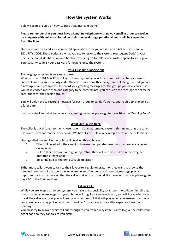## **How the System Works**

Below is a quick guide on how 121tarotreadings.com works.

**Please remember that you must have a Landline telephone with no voicemail in order to receive calls. Agents with voicemail found on their phones during operational hours will be suspended from the lines.** 

Once we have received your completed application form you are issued an AGENT CODE and a SECURITY CODE. These codes are what you use to log onto the system. Your 'Agent Code' is your unique personal identification number that you can give to callers who wish to speak to you again. Your security code is your password for logging onto the system.

#### **Your First Time Logging on:**

The logging on system is very easy to use.

When you call 0161 686 1256 to log on to our system, you will be prompted to enter your agent code followed by your security code. Once you have done this the system will recognise that you are a new agent and prompt you to record your greeting messages for the groups you have chosen; if you have chosen more than one category to be entered into, you can keep the message the same or cater them for the specific groups.

You will only have to record a message for each group once; don't worry, you're able to change it at a later date.

If you are stuck for what to say in your greeting message, please go to page 10 in the 'Training Zone'.

#### **What Our Callers Hear:**

The caller is put through to their chosen agent via an automated system; this means that the caller has control of what reader they choose. We have listed below, an example of what the caller hears.

Having called our service the caller will be given three choices:

- 1. They will be asked if they want to browse the operator greetings that are available and online now.
- 2. Talk to their favourite or regular operator: They will be asked to key in their regular operator's Agent Code;
- 3. Be connected to the first available operator.

Either most callers want to talk to their favourite, regular operator, or they want to browse the personal greetings of the operators who are online. Your voice and greeting message play an important part in the decision that the caller makes. If you would like more information, please go to page 10 in the Training Zone.

#### **Taking Calls:**

While you are logged on to our system, you have a responsibility to answer the calls coming through to you. When you are logged on your phone will ring if a caller selects you, you will know what type of call the caller wants as you will hear a whisper prompt that will play when you answer the phone. For example you may pick up and hear 'Tarot call' this indicates the caller expects a Tarot Card Reading.

You must try to answer every call put through to you from our system. Ensure to give the caller your agent code so they can talk to you again.

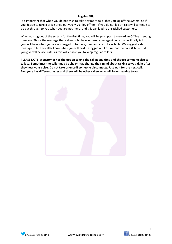#### **Logging Off:**

It is important that when you do not wish to take any more calls, that you log off the system. So if you decide to take a break or go out you **MUST** log off first. If you do not log off calls will continue to be put through to you when you are not there, and this can lead to unsatisfied customers.

When you log out of the system for the first time, you will be prompted to record an Offline greeting message. This is the message that callers, who have entered your agent code to specifically talk to you, will hear when you are not logged onto the system and are not available. We suggest a short message to let the caller know when you will next be logged on. Ensure that the date & time that you give will be accurate, as this will enable you to keep regular callers.

**PLEASE NOTE: A customer has the option to end the call at any time and choose someone else to talk to. Sometimes the caller may be shy or may change their mind about talking to you right after they hear your voice. Do not take offence if someone disconnects. Just wait for the next call. Everyone has different tastes and there will be other callers who will love speaking to you.** 





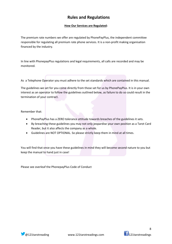### **Rules and Regulations**

#### **How Our Services are Regulated:**

The premium rate numbers we offer are regulated by PhonePayPlus, the independent committee responsible for regulating all premium rate phone services. It is a non-profit making organisation financed by the industry.

In line with PhonepayPlus regulations and legal requirements, all calls are recorded and may be monitored.

As a Telephone Operator you must adhere to the set standards which are contained in this manual.

The guidelines we set for you come directly from those set for us by PhonePayPlus. It is in your own interest as an operator to follow the guidelines outlined below, as failure to do so could result in the termination of your contract.

Remember that:

- PhonePayPlus has a ZERO tolerance attitude towards breaches of the guidelines it sets.
- By breaching these guidelines you may not only jeopardise your own position as a Tarot Card Reader, but it also affects the company as a whole.
- Guidelines are NOT OPTIONAL. So please strictly keep them in mind at all times.

You will find that once you have these guidelines in mind they will become second nature to you but keep the manual to hand just in case!

Please see overleaf the PhonepayPlus Code of Conduct





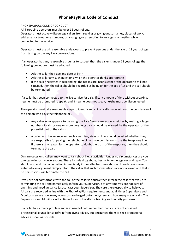## **PhonePayPlus Code of Conduct**

#### PHONEPAYPLUS CODE OF CONDUCT

All Tarot-Line operators must be over 18 years of age.

Operators must actively discourage callers from seeking or giving out surnames, places of work, addresses or telephone numbers, or arranging or attempting to arrange any meeting while connected to the service.

Operators must use all reasonable endeavours to prevent persons under the age of 18 years of age from taking part in any live conversations.

If an operator has any reasonable grounds to suspect that, the caller is under 18 years of age the following procedure must be adopted:

- Ask the caller their age and date of birth
- Ask the caller any such questions which the operator thinks appropriate
- If the caller hesitates in responding, the replies are inconsistent or the operator is still not satisfied, then the caller should be regarded as being under the age of 18 and the call should be terminated.

If a caller has been connected to the live service for a significant amount of time without speaking, he/she must be prompted to speak, and if he/she does not speak, he/she must be disconnected.

The operator must take reasonable steps to identify and cut off calls made without the permission of the person who pays the telephone bill.

- Any caller who appears to be using the Live Service excessively, either by making a large number of calls or one or more very long calls, should be warned by the operator of the potential cost of the call(s).
- A caller who having received such a warning, stays on line, should be asked whether they are responsible for paying the telephone bill or have permission to use the telephone line. If there is any reason for the operator to doubt the truth of the response, then they should terminate the call.

On rare occasions, callers may want to talk about illegal activities. Under no circumstances are you to engage in such conversations. These include drug abuse, bestiality, underage sex and rape. You should also end the conversation immediately if the caller becomes abusive. In such cases never enter into an argument. Simply inform the caller that such conversations are not allowed and that if he persists you will terminate the call.

If you are not comfortable with the call or the caller is abusive then inform the caller that you are terminating the call and immediately inform your Supervisor. If at any time you are not sure of anything and need guidance just contact your Supervisor. They are there especially to help you. All calls are recorded in line with the PhonePayPlus requirements and at all times Supervisors and Monitors can see how many operators are logged onto the system and how many are on calls. The Supervisors and Monitors will at times listen in to calls for training and security purposes.

If a caller has a major problem and is in need of help remember that you are not a trained professional counsellor so refrain from giving advice, but encourage them to seek professional advice as soon as possible.



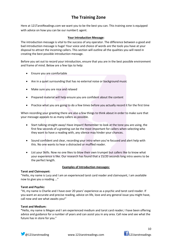## **The Training Zone**

Here at 121TarotReadings.com we want you to be the best you can. This training zone is equipped with advice on how you can be our number1 agent.

#### **Your Introduction Message:**

The introduction message is vital to the success of any operator. The difference between a good and bad introduction message is huge! Your voice and choice of words are the tools you have at your disposal to attract the incoming callers. This section will outline all the qualities you will need in creating the best possible introduction message.

Before you set out to record your introduction, ensure that you are in the best possible environment and frame of mind. Below are a few tips to help:

- Ensure you are comfortable
- Are in a quiet surrounding that has no external noise or background music
- Make sure you are nice and relaxed
- Prepared material will help ensure you are confident about the content
- Practice what you are going to do a few times before you actually record it for the first time

When recording your greeting there are also a few things to think about in order to make sure that your message appeals to as many callers as possible.

- Start talking straight away! Have impact! Remember to look at the tone you are using, the first few seconds of a greeting can be the most important for callers when selecting who they want to have a reading with, any silence may hinder your chances.
- Sound confident and clear, recording your intro when you're focused and alert help with this. No one wants to hear a distracted or muffled reader.
- List your Skills. Now no one likes to blow their own trumpet but callers like to know what your experience is like. Our research has found that a 15/20 seconds long intro seems to be the perfect length.

#### **Examples of Introduction messages:**

#### **Tarot and Clairvoyant:**

"Hello, my name is Lucy and I am an experienced tarot card reader and clairvoyant, I am available now to give you a reading ..."

#### **Tarot and Psychic:**

"Hi, my name is Charlie and I have over 20 years' experience as a psychic and tarot card reader. If you want an accurate and precise reading, advice on life, love and any general issue you might have, call now and see what awaits you!"

#### **Tarot and Medium:**

**"**Hello, my name is Megan and I am experienced medium and tarot card reader; I have been offering advice and guidance for a number of years and can assist you in any area. Call now and see what the future has in store for you."





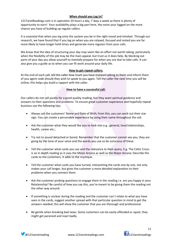#### **When should you Log In?**

121TarotReadings.com is in operation 24 hours a day, 7 days a week so there is plenty of opportunity to earn! Your availability plays a big part here, the more your logged on the more chance you have of building up regular callers.

It is essential that when you log onto the system you be in the right mood and mindset. Through our research, we have found that if you log on when you are relaxed, focused and rested you are far more likely to have longer hold times and generate more regulars from your calls.

We know that the idea of structuring your day may seem like an effort not worth taking, particularly when the flexibility of this job may be the main appeal, but trust us it does help. By blocking out parts of your day you allow yourself to mentally prepare for when you are due to take calls. It can also give you a guide as to when you can fit work around your daily life.

#### **How to get repeat callers:**

At the end of each call, tell the caller how much you have enjoyed talking to them and inform them of you agent code should they wish to speak to you again. Tell the caller the next time you will be online, this helps you build a rapport with the caller.

#### **How to have a successful call:**

Our callers do not call purely for a good quality reading, but they want spiritual guidance and answers to their questions and problems. To ensure great customer experience and hopefully repeat business use the following tips;

- Always ask the customers' Name and Date of Birth; from this, you can work out their star sign. You can create a personable experience by using their name throughout the call.
- Ask the customer what they would like you to look into e.g.: general, love/relationships, health, career etc.;
- Try not to sound detached or bored. Remember that the customer cannot see you, they are going by the tone of your voice and the words you use so be conscious of these.
- Tell the customer what cards you use and the relevance to their query. E.g. The Celtic Crossis an in depth reading as it uses the Minor Arcana as well as the Major Arcana: Describe the cards to the customers, it adds to the mystique.
- Tell the customer what cards you have turned, interpreting the cards one by one, not only makes your call longer, but gives the customer a more detailed explanation to their problems when you connect them.
- Ask the customer probing questions to engage them in the reading i.e. are you happy in your Relationship? Be careful of how you say this, you're meant to be giving them the reading not the other way around.
- If something is unclear during the reading and the customer can`t relate to what you have seen in the cards, suggest another spread with that particular question in mind to get the answers needed; this will show the customer that you are thorough and professional.
- Be gentle when breaking bad news. Some customers can be easily offended or upset; they might get paranoid and react badly.

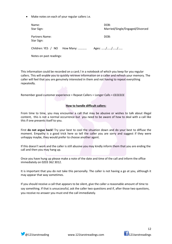Make notes on each of your regular callers i.e.

| Name:<br>Star Sign:          |           | DOB:<br>Married/Single/Engaged/Divorced |
|------------------------------|-----------|-----------------------------------------|
| Partners Name:<br>Star Sign: |           | DOB:                                    |
| Children: YES / NO           | How Many: | Ages: ///                               |

Notes on past readings:

This information could be recorded on a card / in a notebook of which you keep for you regular callers. This will enable you to quickly retrieve information on a caller and refresh your memory. The caller will feel that you are genuinely interested in them and not having to repeat everything repeatedly.

Remember good customer experience = Repeat Callers = Longer Calls = £££££££

#### **How to handle difficult callers:**

From time to time, you may encounter a call that may be abusive or wishes to talk about illegal content, this is not a normal occurrence but you need to be aware of how to deal with a call like this if one presents itself to you.

First **do not argue back!** Try your best to cool the situation down and do your best to diffuse the moment. Empathy is a good trick here so tell the caller you are sorry and suggest if they were unhappy maybe, they would prefer to choose another agent.

If this doesn't work and the caller is still abusive you may kindly inform them that you are ending the call and then you may hang up.

Once you have hung up please make a note of the date and time of the call and inform the office immediately on 0203 362 3012.

It is important that you do not take this personally. The caller is not having a go at you, although it may appear that way sometimes.

If you should receive a call that appears to be silent, give the caller a reasonable amount of time to say something. If that is unsuccessful, ask the caller two questions and if, after those two questions, you receive no answer you must end the call immediately.



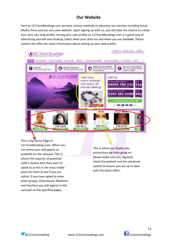## **Our Website**

Here at 121TarotReadings.com we have various methods to advertise our services including Social Media, Press and our very own website. Upon signing up with us, you will have the chance to create your very own web profile. Having your own profile on 121TarotReadings.com is a great way of advertising yourself and showing callers what your skills are and when you are available. Please contact the office for more information about setting up your web profile.



This is the Home Page of 121TarotReadings.com. When you are online your will appear as available on the carousel .This is where the majority of potential callers choose who they want to speak to as this is the most visible place for them to see if you are online. If you have opted to enter other groups, (Clairvoyant, Mediums and Psychics) you will appear in this carousel on the specified pages.

This is where we display any promotions we have going on. please make sure you regularly check the website and the voicemail system to ensure you are up to date with the latest offers.



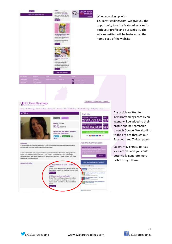



Any article written for 121tarotreadings.com by an agent, will be added to their profile and be searchable through Google. We also link to the articles through our Facebook and Twitter pages.

Callers may choose to read your articles and you could potentially generate more calls through them.



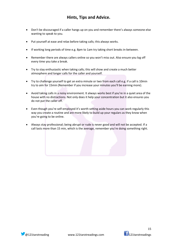## **Hints, Tips and Advice.**

- Don't be discouraged if a caller hangs up on you and remember there's always someone else wanting to speak to you.
- Put yourself at ease and relax before taking calls; this always works.
- If working long periods of time e.g. 8pm to 1am try taking short breaks in-between.
- Remember there are always callers online so you won't miss out. Also ensure you log off every time you take a break.
- Try to stay enthusiastic when taking calls; this will show and create a much better atmosphere and longer calls for the caller and yourself.
- Try to challenge yourself to get an extra minute or two from each call e.g. if a call is 10min try to aim for 15min (Remember if you increase your minutes you'll be earning more).
- Avoid taking calls in a noisy environment. It always works best if you're in a quiet area of the house with no distractions. Not only does it help your concentration but it also ensures you do not put the caller off.
- Even though you're self-employed it's worth setting aside hours you can work regularly this way you create a routine and are more likely to build up your regulars as they know when you're going to be online.
- Always stay professional; being abrupt or rude is never good and will not be accepted. If a call lasts more than 15 min, which is the average, remember you're doing something right.



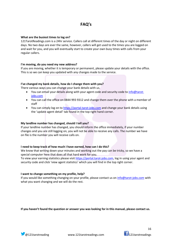## **FAQ's**

#### **What are the busiest times to log on?**

121TarotReadings.com is a 24hr service. Callers call at different times of the day or night on different days. No two days are ever the same, however, callers will get used to the times you are logged on and wait for you, and you will eventually start to create your own busy times with calls from your regular callers.

#### **I'm moving, do you need my new address?**

If you are moving, whether it is temporary or permanent, please update your details with the office. This is so we can keep you updated with any changes made to the service.

#### **I've changed my bank details, how do I change them with you?**

There various ways you can change your bank details with us.

- You can email your details along with your agent code and security code to info@tarotjobs.com
- You can call the office on 0844 993 9312 and change them over the phone with a member of staff
- You can simply log on to https://portal.tarot-jobs.com and change your bank details using the 'update agent detail' tab found in the top right hand corner.

#### **My landline number has changed, should I tell you?**

If your landline number has changed, you should inform the office immediately, if your number changes and you are still logging on, you will not be able to receive any calls. The number we have on file is the number you will receive calls on.

#### **I need to keep track of how much I have earned, how can I do this?**

We know that writing down your minutes and working out the pay can be tricky, so we have a special computer here that does all that hard work for you.

To view your earning statistics please visit https://portal.tarot-jobs.com, log in using your agent and security code and click 'view agent statistics' which you will find in the top right corner.

#### **I want to change something on my profile, help?**

If you would like something changing on your profile, please contact us on info@tarot-jobs.com with what you want changing and we will do the rest.

**If you haven't found the question or answer you was looking for in this manual, please contact us.**